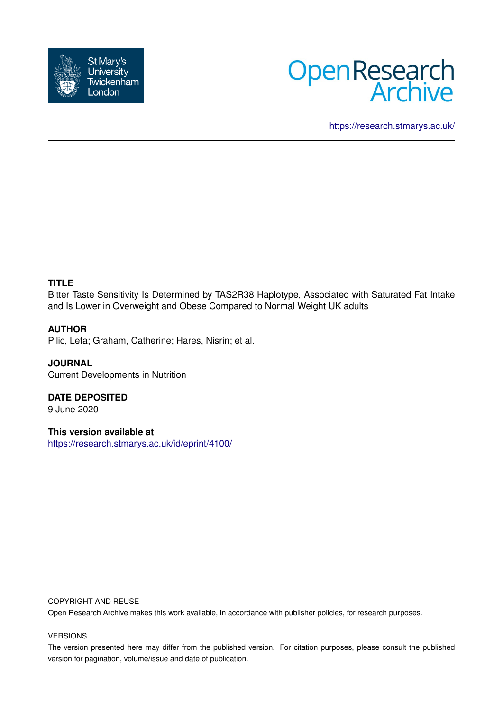



<https://research.stmarys.ac.uk/>

# **TITLE**

Bitter Taste Sensitivity Is Determined by TAS2R38 Haplotype, Associated with Saturated Fat Intake and Is Lower in Overweight and Obese Compared to Normal Weight UK adults

## **AUTHOR**

Pilic, Leta; Graham, Catherine; Hares, Nisrin; et al.

**JOURNAL** Current Developments in Nutrition

**DATE DEPOSITED** 9 June 2020

**This version available at** <https://research.stmarys.ac.uk/id/eprint/4100/>

### COPYRIGHT AND REUSE

Open Research Archive makes this work available, in accordance with publisher policies, for research purposes.

### VERSIONS

The version presented here may differ from the published version. For citation purposes, please consult the published version for pagination, volume/issue and date of publication.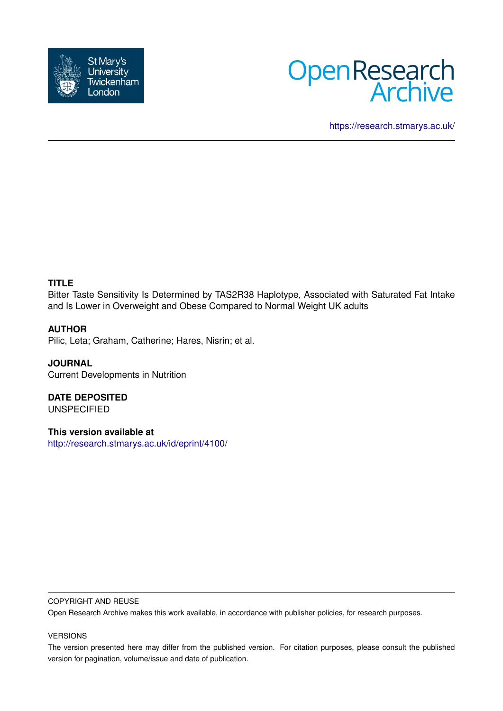



<https://research.stmarys.ac.uk/>

# **TITLE**

Bitter Taste Sensitivity Is Determined by TAS2R38 Haplotype, Associated with Saturated Fat Intake and Is Lower in Overweight and Obese Compared to Normal Weight UK adults

### **AUTHOR**

Pilic, Leta; Graham, Catherine; Hares, Nisrin; et al.

**JOURNAL** Current Developments in Nutrition

**DATE DEPOSITED** UNSPECIFIED

**This version available at** <http://research.stmarys.ac.uk/id/eprint/4100/>

### COPYRIGHT AND REUSE

Open Research Archive makes this work available, in accordance with publisher policies, for research purposes.

### VERSIONS

The version presented here may differ from the published version. For citation purposes, please consult the published version for pagination, volume/issue and date of publication.